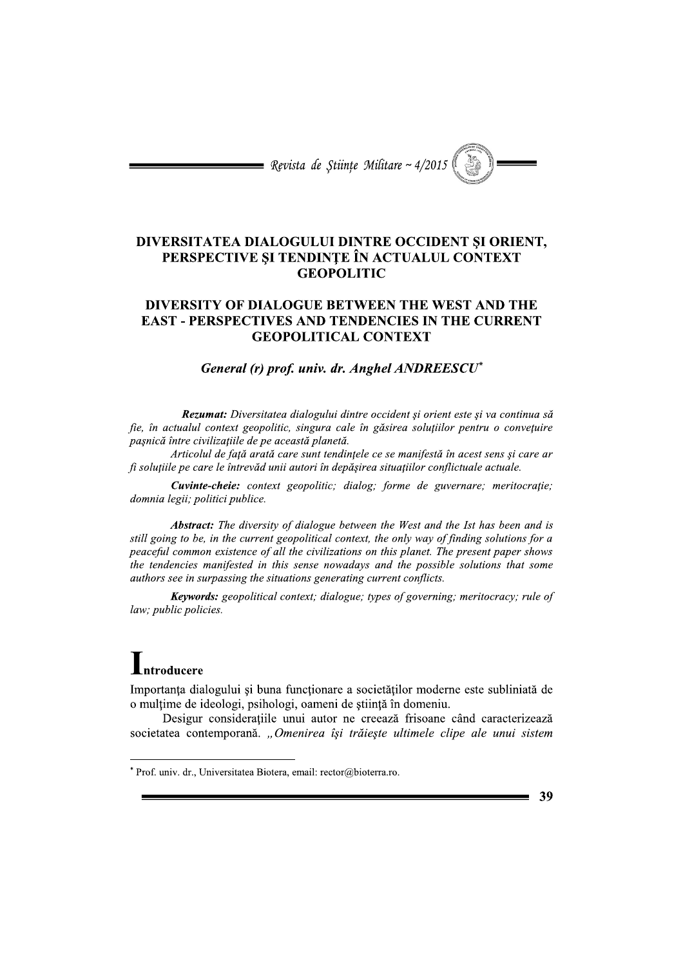$\equiv$  Revista de Stiințe Militare ~ 4/2015

## DIVERSITATEA DIALOGULUI DINTRE OCCIDENT ȘI ORIENT, PERSPECTIVE ȘI TENDINȚE ÎN ACTUALUL CONTEXT **GEOPOLITIC**

## DIVERSITY OF DIALOGUE BETWEEN THE WEST AND THE **EAST - PERSPECTIVES AND TENDENCIES IN THE CURRENT GEOPOLITICAL CONTEXT**

## General (r) prof. univ. dr. Anghel ANDREESCU\*

Rezumat: Diversitatea dialogului dintre occident și orient este și va continua să fie, în actualul context geopolitic, singura cale în găsirea soluțiilor pentru o convețuire pașnică între civilizațiile de pe această planetă.

Articolul de față arată care sunt tendințele ce se manifestă în acest sens și care ar fi soluțiile pe care le întrevăd unii autori în depășirea situațiilor conflictuale actuale.

Cuvinte-cheie: context geopolitic; dialog; forme de guvernare; meritocrație; domnia legii; politici publice.

**Abstract:** The diversity of dialogue between the West and the Ist has been and is still going to be, in the current geopolitical context, the only way of finding solutions for a peaceful common existence of all the civilizations on this planet. The present paper shows the tendencies manifested in this sense nowadays and the possible solutions that some authors see in surpassing the situations generating current conflicts.

Keywords: geopolitical context; dialogue; types of governing; meritocracy; rule of law; public policies.

## Lntroducere

Importanta dialogului si buna functionare a societătilor moderne este subliniată de o mulțime de ideologi, psihologi, oameni de știință în domeniu.

Desigur consideratiile unui autor ne creează frisoane când caracterizează societatea contemporană. "Omenirea își trăiește ultimele clipe ale unui sistem

39

<sup>\*</sup> Prof. univ. dr., Universitatea Biotera, email: rector@bioterra.ro.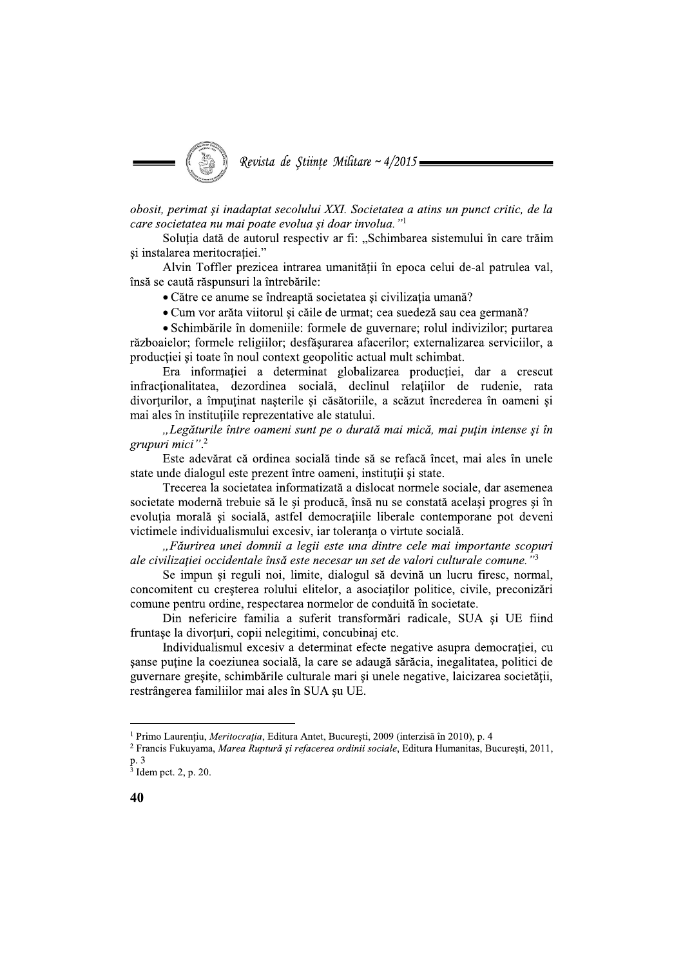

obosit, perimat și inadaptat secolului XXI. Societatea a atins un punct critic, de la care societatea nu mai poate evolua și doar involua."<sup>1</sup>

Soluția dată de autorul respectiv ar fi: "Schimbarea sistemului în care trăim și instalarea meritocrației."

Alvin Toffler prezicea intrarea umanității în epoca celui de-al patrulea val, însă se caută răspunsuri la întrebările:

• Către ce anume se îndreaptă societatea și civilizația umană?

• Cum vor arăta viitorul și căile de urmat; cea suedeză sau cea germană?

• Schimbările în domeniile: formele de guvernare; rolul indivizilor; purtarea războaielor; formele religiilor; desfăsurarea afacerilor; externalizarea serviciilor, a producției și toate în noul context geopolitic actual mult schimbat.

Era informației a determinat globalizarea producției, dar a crescut infractionalitatea, dezordinea socială, declinul relatiilor de rudenie, rata divorturilor, a împuținat nașterile și căsătoriile, a scăzut încrederea în oameni și mai ales în instituțiile reprezentative ale statului.

"Legăturile între oameni sunt pe o durată mai mică, mai puțin intense și în grupuri mici".<sup>2</sup>

Este adevărat că ordinea socială tinde să se refacă încet, mai ales în unele state unde dialogul este prezent între oameni, institutii și state.

Trecerea la societatea informatizată a dislocat normele sociale, dar asemenea societate modernă trebuie să le și producă, însă nu se constată același progres si în evoluția morală și socială, astfel democrațiile liberale contemporane pot deveni victimele individualismului excesiv, iar toleranța o virtute socială.

"Făurirea unei domnii a legii este una dintre cele mai importante scopuri ale civilizației occidentale însă este necesar un set de valori culturale comune."<sup>3</sup>

Se impun și reguli noi, limite, dialogul să devină un lucru firesc, normal, concomitent cu cresterea rolului elitelor, a asociatilor politice, civile, preconizări comune pentru ordine, respectarea normelor de conduită în societate.

Din nefericire familia a suferit transformări radicale, SUA și UE fiind fruntașe la divorțuri, copii nelegitimi, concubinaj etc.

Individualismul excesiv a determinat efecte negative asupra democratiei, cu sanse putine la coeziunea socială, la care se adaugă sărăcia, inegalitatea, politici de guvernare gresite, schimbările culturale mari și unele negative, laicizarea societății, restrângerea familiilor mai ales în SUA șu UE.

<sup>&</sup>lt;sup>1</sup> Primo Laurențiu, Meritocrația, Editura Antet, București, 2009 (interzisă în 2010), p. 4

<sup>&</sup>lt;sup>2</sup> Francis Fukuyama, Marea Ruptură și refacerea ordinii sociale, Editura Humanitas, Bucuresti, 2011, p. 3

 $3$  Idem pct. 2, p. 20.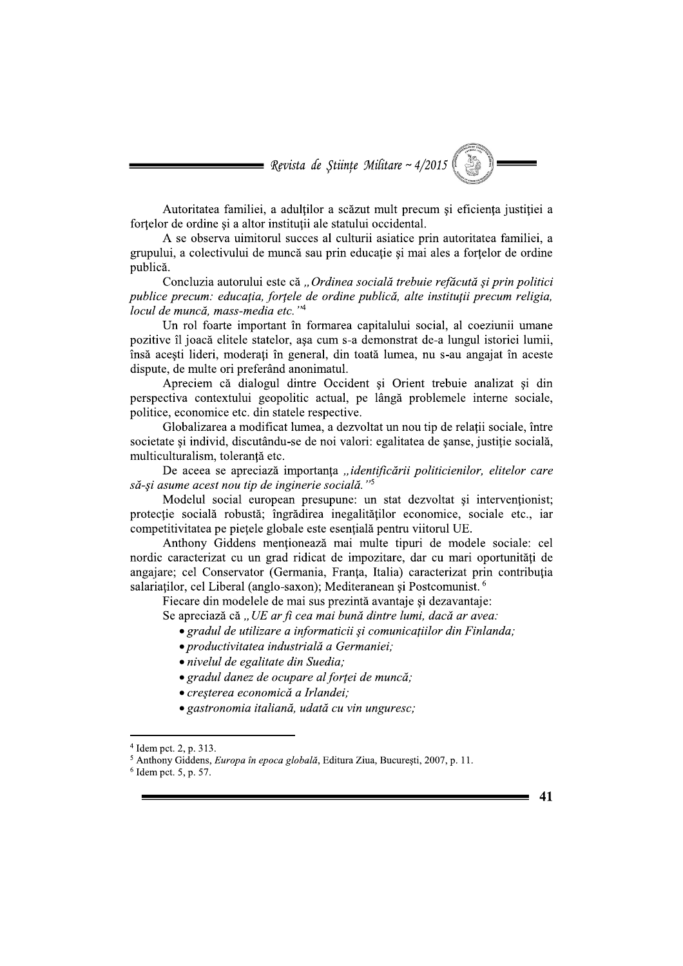$\blacksquare$  Revista de Științe Militare ~ 4/2015

Autoritatea familiei, a adultilor a scăzut mult precum și eficiența justiției a fortelor de ordine și a altor instituții ale statului occidental.

A se observa uimitorul succes al culturii asiatice prin autoritatea familiei, a grupului, a colectivului de muncă sau prin educație și mai ales a forțelor de ordine publică.

Concluzia autorului este că "Ordinea socială trebuie refăcută și prin politici publice precum: educația, forțele de ordine publică, alte instituții precum religia, locul de muncă, mass-media etc."4

Un rol foarte important în formarea capitalului social, al coeziunii umane pozitive îl joacă elitele statelor, asa cum s-a demonstrat de-a lungul istoriei lumii, însă acești lideri, moderați în general, din toată lumea, nu s-au angajat în aceste dispute, de multe ori preferând anonimatul.

Apreciem că dialogul dintre Occident și Orient trebuie analizat și din perspectiva contextului geopolitic actual, pe lângă problemele interne sociale, politice, economice etc. din statele respective.

Globalizarea a modificat lumea, a dezvoltat un nou tip de relatii sociale, între societate și individ, discutându-se de noi valori: egalitatea de sanse, justiție socială, multiculturalism, toleranță etc.

De aceea se apreciază importanța "identificării politicienilor, elitelor care să-și asume acest nou tip de inginerie socială."<sup>5</sup>

Modelul social european presupune: un stat dezvoltat și intervenționist; protecție socială robustă; îngrădirea inegalităților economice, sociale etc., iar competitivitatea pe piețele globale este esențială pentru viitorul UE.

Anthony Giddens menționează mai multe tipuri de modele sociale: cel nordic caracterizat cu un grad ridicat de impozitare, dar cu mari oportunități de angajare; cel Conservator (Germania, Franța, Italia) caracterizat prin contribuția salariatilor, cel Liberal (anglo-saxon); Mediteranean și Postcomunist.<sup>6</sup>

Fiecare din modelele de mai sus prezintă avantaje și dezavantaje:

Se apreciază că "UE ar fi cea mai bună dintre lumi, dacă ar avea:

• gradul de utilizare a informaticii și comunicațiilor din Finlanda;

 $\boldsymbol{\Delta}$ 1

- · productivitatea industrială a Germaniei;
- · nivelul de egalitate din Suedia;
- gradul danez de ocupare al fortei de muncă;
- cresterea economică a Irlandei;
- · gastronomia italiană, udată cu vin unguresc;

 $4$  Idem pct. 2, p. 313.

<sup>&</sup>lt;sup>5</sup> Anthony Giddens, Europa în epoca globală, Editura Ziua, București, 2007, p. 11.

 $6$  Idem pct. 5, p. 57.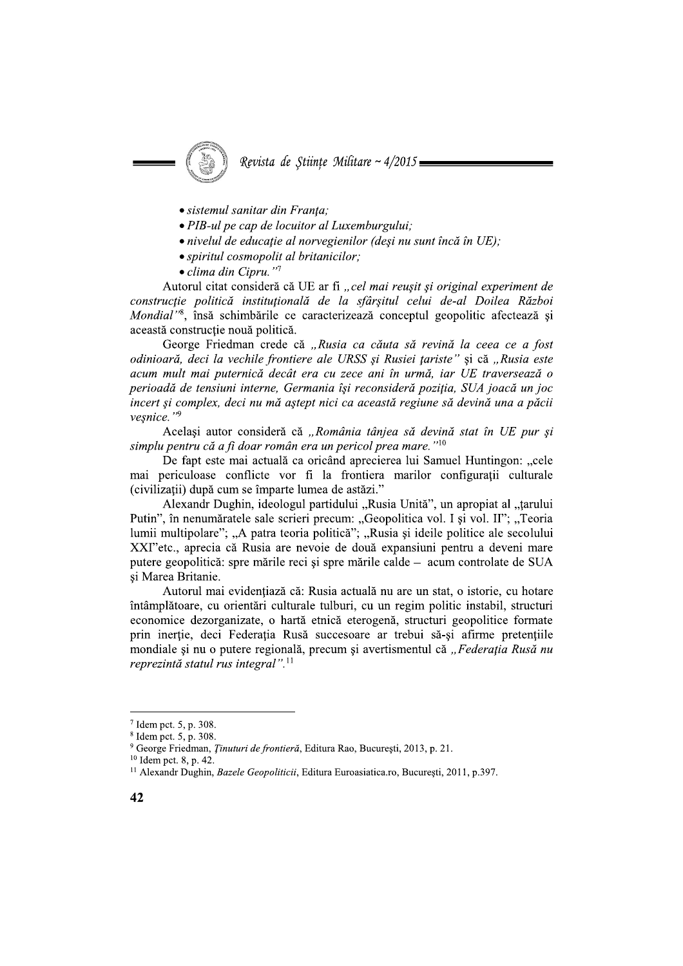- · sistemul sanitar din Franța;
- PIB-ul pe cap de locuitor al Luxemburgului;
- nivelul de educație al norvegienilor (deși nu sunt încă în UE);

Revista de Stiințe Militare ~  $4/2015 =$ 

- · spiritul cosmopolit al britanicilor;
- $\bullet$  clima din Cipru."<sup>7</sup>

Autorul citat consideră că UE ar fi "cel mai reușit și original experiment de construcție politică instituțională de la sfârșitul celui de-al Doilea Război Mondial"<sup>8</sup>, însă schimbările ce caracterizează conceptul geopolitic afectează și această construcție nouă politică.

George Friedman crede că "Rusia ca căuta să revină la ceea ce a fost odinioară, deci la vechile frontiere ale URSS și Rusiei țariste" și că "Rusia este acum mult mai puternică decât era cu zece ani în urmă, iar UE traversează o perioadă de tensiuni interne, Germania își reconsideră poziția, SUA joacă un joc incert și complex, deci nu mă aștept nici ca această regiune să devină una a păcii veşnice."9

Același autor consideră că "România tânjea să devină stat în UE pur și simplu pentru că a fi doar român era un pericol prea mare."<sup>10</sup>

De fant este mai actuală ca oricând aprecierea lui Samuel Huntingon: ...cele mai periculoase conflicte vor fi la frontiera marilor configuratii culturale (civilizații) după cum se împarte lumea de astăzi."

Alexandr Dughin, ideologul partidului "Rusia Unită", un apropiat al "țarului Putin", în nenumăratele sale scrieri precum: "Geopolitica vol. I și vol. II"; "Teoria lumii multipolare"; "A patra teoria politică"; "Rusia și ideile politice ale secolului XXI" etc., aprecia că Rusia are nevoie de două expansiuni pentru a deveni mare putere geopolitică: spre mările reci și spre mările calde – acum controlate de SUA si Marea Britanie.

Autorul mai evidențiază că: Rusia actuală nu are un stat, o istorie, cu hotare întâmplătoare, cu orientări culturale tulburi, cu un regim politic instabil, structuri economice dezorganizate, o hartă etnică eterogenă, structuri geopolitice formate prin inertie, deci Federatia Rusă succesoare ar trebui să-si afirme pretentiile mondiale si nu o putere regională, precum și avertismentul că "Federatia Rusă nu reprezintă statul rus integral".<sup>11</sup>

 $7$  Idem pct. 5, p. 308.

<sup>&</sup>lt;sup>8</sup> Idem pct. 5, p. 308.

<sup>&</sup>lt;sup>9</sup> George Friedman, *Tinuturi de frontieră*, Editura Rao, București, 2013, p. 21.

 $10$  Idem pct. 8, p. 42.

<sup>&</sup>lt;sup>11</sup> Alexandr Dughin, *Bazele Geopoliticii*, Editura Euroasiatica.ro, București, 2011, p.397.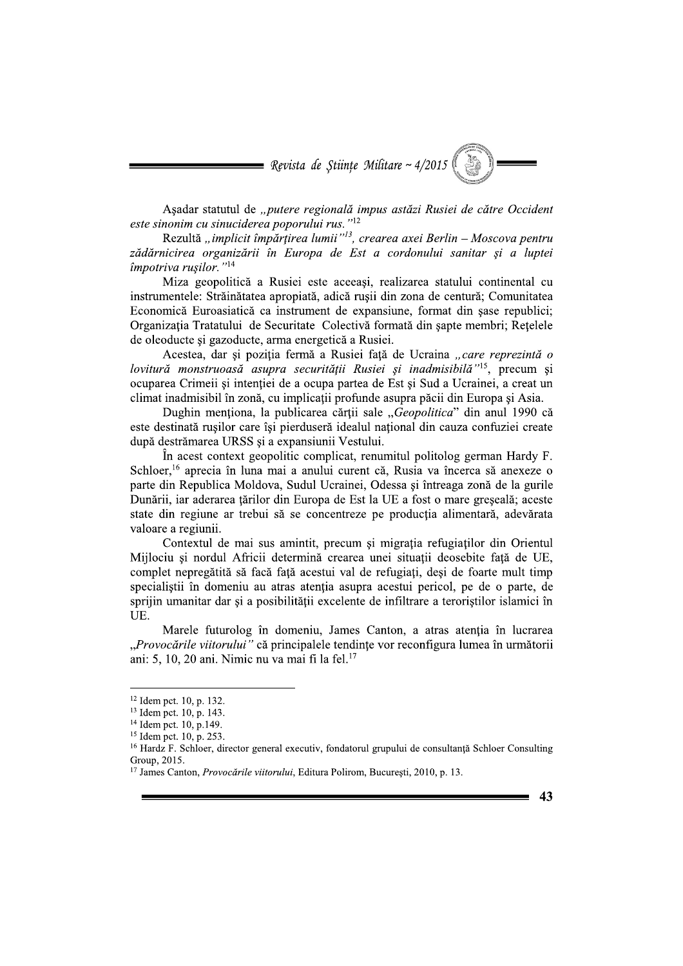$\blacksquare$  Revista de Științe Militare ~ 4/2015

Asadar statutul de "putere regională impus astăzi Rusiei de către Occident este sinonim cu sinuciderea poporului rus."<sup>12</sup>

Rezultă "implicit împărțirea lumii"<sup>13</sup>, crearea axei Berlin – Moscova pentru zădărnicirea organizării în Europa de Est a cordonului sanitar și a luptei împotriva rusilor."<sup>14</sup>

Miza geopolitică a Rusiei este aceeași, realizarea statului continental cu instrumentele: Străinătatea apropiată, adică rusii din zona de centură; Comunitatea Economică Euroasiatică ca instrument de expansiune, format din șase republici; Organizația Tratatului de Securitate Colectivă formată din sapte membri; Retelele de oleoducte și gazoducte, arma energetică a Rusiei.

Acestea, dar și poziția fermă a Rusiei față de Ucraina "care reprezintă o lovitură monstruoasă asupra securității Rusiei și inadmisibilă"<sup>15</sup>, precum și ocuparea Crimeii si intentiei de a ocupa partea de Est si Sud a Ucrainei, a creat un climat inadmisibil în zonă, cu implicatii profunde asupra păcii din Europa și Asia.

Dughin menționa, la publicarea cărții sale "Geopolitica" din anul 1990 că este destinată rusilor care îsi pierduseră idealul national din cauza confuziei create după destrămarea URSS și a expansiunii Vestului.

In acest context geopolitic complicat, renumitul politolog german Hardy F. Schloer,<sup>16</sup> aprecia în luna mai a anului curent că, Rusia va încerca să anexeze o parte din Republica Moldova, Sudul Ucrainei, Odessa si întreaga zonă de la gurile Dunării, iar aderarea tărilor din Europa de Est la UE a fost o mare greseală; aceste state din regiune ar trebui să se concentreze pe producția alimentară, adevărata valoare a regiunii.

Contextul de mai sus amintit, precum și migrația refugiaților din Orientul Mijlociu și nordul Africii determină crearea unei situații deosebite față de UE, complet nepregătită să facă față acestui val de refugiați, desi de foarte mult timp specialiștii în domeniu au atras atenția asupra acestui pericol, pe de o parte, de sprijin umanitar dar și a posibilității excelente de infiltrare a teroriștilor islamici în UE.

Marele futurolog în domeniu, James Canton, a atras atenția în lucrarea "Provocările viitorului" că principalele tendințe vor reconfigura lumea în următorii ani: 5, 10, 20 ani. Nimic nu va mai fi la fel.<sup>17</sup>

 $12$  Idem pct. 10, p. 132.

 $13$  Idem pct. 10, p. 143.

 $14$  Idem pct. 10, p.149.

 $15$  Idem pct.  $10, p. 253$ .

 $^{16}$  Hardz F. Schloer, director general executiv, fondatorul grupului de consultantă Schloer Consulting Group, 2015.

<sup>&</sup>lt;sup>17</sup> James Canton, *Provocările viitorului*, Editura Polirom, București, 2010, p. 13.